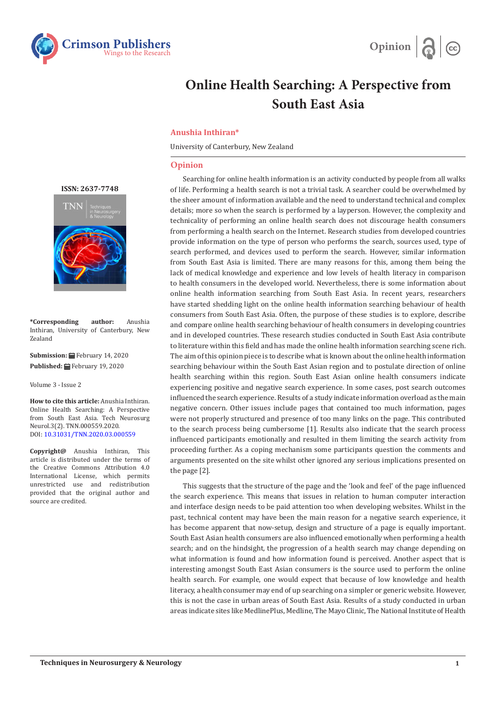



## **Online Health Searching: A Perspective from South East Asia**

## **Anushia Inthiran\***

University of Canterbury, New Zealand

## **Opinion**

Searching for online health information is an activity conducted by people from all walks of life. Performing a health search is not a trivial task. A searcher could be overwhelmed by the sheer amount of information available and the need to understand technical and complex details; more so when the search is performed by a layperson. However, the complexity and technicality of performing an online health search does not discourage health consumers from performing a health search on the Internet. Research studies from developed countries provide information on the type of person who performs the search, sources used, type of search performed, and devices used to perform the search. However, similar information from South East Asia is limited. There are many reasons for this, among them being the lack of medical knowledge and experience and low levels of health literacy in comparison to health consumers in the developed world. Nevertheless, there is some information about online health information searching from South East Asia. In recent years, researchers have started shedding light on the online health information searching behaviour of health consumers from South East Asia. Often, the purpose of these studies is to explore, describe and compare online health searching behaviour of health consumers in developing countries and in developed countries. These research studies conducted in South East Asia contribute to literature within this field and has made the online health information searching scene rich. The aim of this opinion piece is to describe what is known about the online health information searching behaviour within the South East Asian region and to postulate direction of online health searching within this region. South East Asian online health consumers indicate experiencing positive and negative search experience. In some cases, post search outcomes influenced the search experience. Results of a study indicate information overload as the main negative concern. Other issues include pages that contained too much information, pages were not properly structured and presence of too many links on the page. This contributed to the search process being cumbersome [1]. Results also indicate that the search process influenced participants emotionally and resulted in them limiting the search activity from proceeding further. As a coping mechanism some participants question the comments and arguments presented on the site whilst other ignored any serious implications presented on the page [2].

This suggests that the structure of the page and the 'look and feel' of the page influenced the search experience. This means that issues in relation to human computer interaction and interface design needs to be paid attention too when developing websites. Whilst in the past, technical content may have been the main reason for a negative search experience, it has become apparent that now-setup, design and structure of a page is equally important. South East Asian health consumers are also influenced emotionally when performing a health search; and on the hindsight, the progression of a health search may change depending on what information is found and how information found is perceived. Another aspect that is interesting amongst South East Asian consumers is the source used to perform the online health search. For example, one would expect that because of low knowledge and health literacy, a health consumer may end of up searching on a simpler or generic website. However, this is not the case in urban areas of South East Asia. Results of a study conducted in urban areas indicate sites like MedlinePlus, Medline, The Mayo Clinic, The National Institute of Health

**[ISSN: 2637-7748](https://crimsonpublishers.com/tnn/)**



**\*Corresponding author:** Anushia Inthiran, University of Canterbury, New Zealand

**Submission:** February 14, 2020 Published: **■**February 19, 2020

Volume 3 - Issue 2

**How to cite this article:** Anushia Inthiran. Online Health Searching: A Perspective from South East Asia. Tech Neurosurg Neurol.3(2). TNN.000559.2020. DOI: [10.31031/TNN.2020.03.0005](http://dx.doi.org/10.31031/TNN.2020.03.000559)59

**Copyright@** Anushia Inthiran, This article is distributed under the terms of the Creative Commons Attribution 4.0 International License, which permits unrestricted use and redistribution provided that the original author and source are credited.